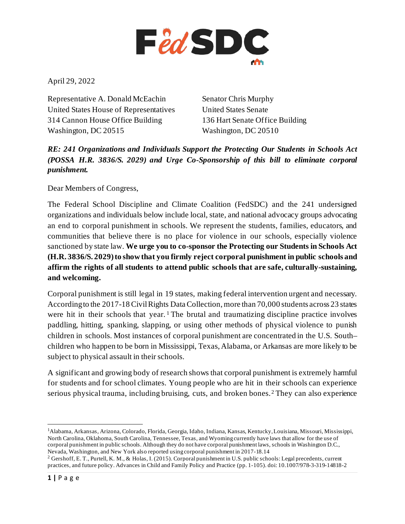

April 29, 2022

Representative A. Donald McEachin United States House of Representatives 314 Cannon House Office Building Washington, DC 20515

Senator Chris Murphy United States Senate 136 Hart Senate Office Building Washington, DC 20510

*RE: 241 Organizations and Individuals Support the Protecting Our Students in Schools Act (POSSA H.R. 3836/S. 2029) and Urge Co-Sponsorship of this bill to eliminate corporal punishment.* 

Dear Members of Congress,

The Federal School Discipline and Climate Coalition (FedSDC) and the 241 undersigned organizations and individuals below include local, state, and national advocacy groups advocating an end to corporal punishment in schools. We represent the students, families, educators, and communities that believe there is no place for violence in our schools, especially violence sanctioned by state law. **We urge you to co-sponsor the Protecting our Students in Schools Act (H.R. 3836/S. 2029) to show that you firmly reject corporal punishment in public schools and affirm the rights of all students to attend public schools that are safe, culturally-sustaining, and welcoming.**

Corporal punishment is still legal in 19 states, making federal intervention urgent and necessary. According to the 2017-18 Civil Rights Data Collection, more than 70,000 students across 23 states were hit in their schools that year. <sup>[1](#page-0-0)</sup> The brutal and traumatizing discipline practice involves paddling, hitting, spanking, slapping, or using other methods of physical violence to punish children in schools. Most instances of corporal punishment are concentrated in the U.S. South– children who happen to be born in Mississippi, Texas, Alabama, or Arkansas are more likely to be subject to physical assault in their schools.

A significant and growing body of research shows that corporal punishment is extremely harmful for students and for school climates. Young people who are hit in their schools can experience serious physical trauma, including bruising, cuts, and broken bones. [2](#page-0-1) They can also experience

<span id="page-0-0"></span>1 Alabama, Arkansas, Arizona, Colorado, Florida, Georgia, Idaho, Indiana, Kansas, Kentucky, Louisiana, Missouri, Mississippi, North Carolina, Oklahoma, South Carolina, Tennessee, Texas, and Wyoming currently have laws that allow for the use of corporal punishment in public schools. Although they do not have corporal punishment laws, schools in Washington D.C., Nevada, Washington, and New York also reported using corporal punishment in 2017-18.14

<span id="page-0-1"></span> $2$  Gershoff, E. T., Purtell, K. M., & Holas, I. (2015). Corporal punishment in U.S. public schools: Legal precedents, current practices, and future policy. Advances in Child and Family Policy and Practice (pp. 1-105). doi: 10.1007/978-3-319-14818-2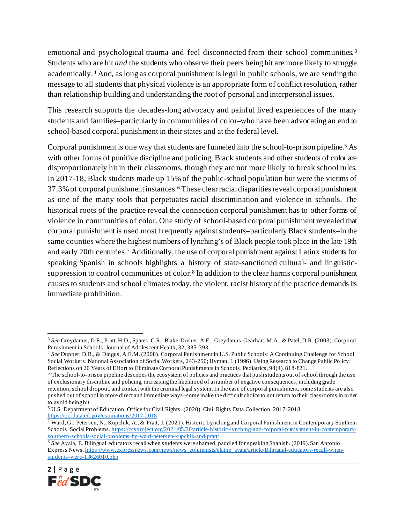emotional and psychological trauma and feel disconnected from their school communities. [3](#page-1-0) Students who are hit *and* the students who observe their peers being hit are more likely to struggle academically.[4](#page-1-1) And, as long as corporal punishment is legal in public schools, we are sending the message to all students that physical violence is an appropriate form of conflict resolution, rather than relationship building and understanding the root of personal and interpersonal issues.

This research supports the decades-long advocacy and painful lived experiences of the many students and families–particularly in communities of color–who have been advocating an end to school-based corporal punishment in their states and at the federal level.

Corporal punishment is one way that students are funneled into the school-to-prison pipeline.[5](#page-1-2) As with other forms of punitive discipline and policing, Black students and other students of color are disproportionately hit in their classrooms, though they are not more likely to break school rules. In 2017-18, Black students made up 15% of the public-school population but were the victims of 37.3% of corporal punishment instances.[6](#page-1-3) These clear racial disparities reveal corporal punishment as one of the many tools that perpetuates racial discrimination and violence in schools. The historical roots of the practice reveal the connection corporal punishment has to other forms of violence in communities of color. One study of school-based corporal punishment revealed that corporal punishment is used most frequently against students–particularly Black students–in the same counties where the highest numbers of lynching's of Black people took place in the late 19th and early 20th centuries.[7](#page-1-4) Additionally, the use of corporal punishment against Latinx students for speaking Spanish in schools highlights a history of state-sanctioned cultural- and linguisticsuppression to control communities of color.<sup>8</sup> In addition to the clear harms corporal punishment causes to students and school climates today, the violent, racist history of the practice demands its immediate prohibition.

<span id="page-1-5"></span><sup>&</sup>lt;sup>8</sup> See Ayala, E. Bilingual educators recall when students were shamed, paddled for speaking Spanish. (2019). San Antonio Express News[. https://www.expressnews.com/news/news\\_columnists/elaine\\_ayala/article/Bilingual-educators-recall-when](https://www.expressnews.com/news/news_columnists/elaine_ayala/article/Bilingual-educators-recall-when-students-were-13626010.php)[students-were-13626010.php](https://www.expressnews.com/news/news_columnists/elaine_ayala/article/Bilingual-educators-recall-when-students-were-13626010.php)



<span id="page-1-0"></span><sup>3</sup> *See* Greydanus, D.E., Pratt, H.D., Spates, C.R., Blake-Dreher, A.E., Greydanus-Gearhart, M.A., & Patel, D.R. (2003). Corporal Punishment in Schools. Journal of Adolescent Health, 32, 385-393.

<span id="page-1-1"></span><sup>4</sup> *See* Dupper, D.R., & Dingus, A.E.M. (2008). Corporal Punishment in U.S. Public Schools: A Continuing Challenge for School Social Workers. National Association of Social Workers, 243-250; Hyman, I. (1996). Using Research to Change Public Policy: Reflections on 20 Years of Effort to Eliminate Corporal Punishments in Schools. Pediatrics, 98(4), 818-821.

<span id="page-1-2"></span><sup>&</sup>lt;sup>5</sup> The school-to-prison pipeline describes the ecosystem of policies and practices that push students out of school through the use of exclusionary discipline and policing, increasing the likelihood of a number of negative consequences, including grade retention, school dropout, and contact with the criminal legal system. In the case of corporal punishment, some students are also pushed out of school in more direct and immediate ways–some make the difficult choice to not return to their classrooms in order to avoid being hit.

<span id="page-1-3"></span><sup>6</sup> U.S. Department of Education, Office for Civil Rights. (2020). Civil Rights Data Collection, 2017-2018. <https://ocrdata.ed.gov/estimations/2017-2018>

<span id="page-1-4"></span><sup>&</sup>lt;sup>7</sup> Ward, G., Petersen, N., Kupchik, A., & Pratt, J. (2021). Historic Lynching and Corporal Punishment in Contemporary Southern Schools. Social Problems[. https://ccsproject.org/2021/05/20/article-historic-lynching-and-corporal-punishment-in-contemporary](https://ccsproject.org/2021/05/20/article-historic-lynching-and-corporal-punishment-in-contemporary-southern-schools-social-problems-by-ward-petersen-kupchik-and-pratt/)[southern-schools-social-problems-by-ward-petersen-kupchik-and-pratt/](https://ccsproject.org/2021/05/20/article-historic-lynching-and-corporal-punishment-in-contemporary-southern-schools-social-problems-by-ward-petersen-kupchik-and-pratt/)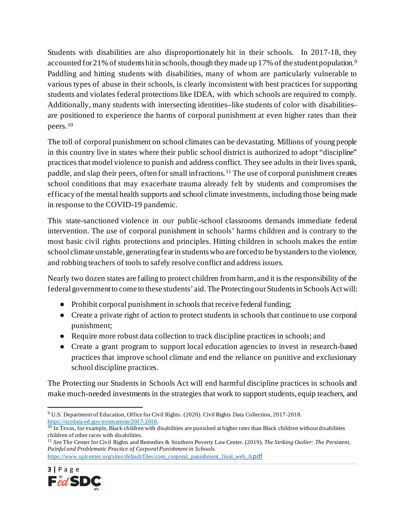Students with disabilities are also disproportionately hit in their schools. In 2017-18, they accounted for 21% of students hit in schools, though they made up 17% of the student population.<sup>[9](#page-2-0)</sup> Paddling and hitting students with disabilities, many of whom are particularly vulnerable to various types of abuse in their schools, is clearly inconsistent with best practices for supporting students and violates federal protections like IDEA, with which schools are required to comply. Additionally, many students with intersecting identities–like students of color with disabilities– are positioned to experience the harms of corporal punishment at even higher rates than their peers.[10](#page-2-1)

The toll of corporal punishment on school climates can be devastating. Millions of young people in this country live in states where their public school district is authorized to adopt "discipline" practices that model violence to punish and address conflict. They see adults in their lives spank, paddle, and slap their peers, often for small infractions. [11](#page-2-2) The use of corporal punishment creates school conditions that may exacerbate trauma already felt by students and compromises the efficacy of the mental health supports and school climate investments, including those being made in response to the COVID-19 pandemic.

This state-sanctioned violence in our public-school classrooms demands immediate federal intervention. The use of corporal punishment in schools' harms children and is contrary to the most basic civil rights protections and principles. Hitting children in schools makes the entire school climate unstable, generating fear in students who are forced to be bystanders to the violence, and robbing teachers of tools to safely resolve conflict and address issues.

Nearly two dozen states are failing to protect children from harm, and it is the responsibility of the federal government to come to these students' aid. The Protecting our Students in Schools Act will:

- Prohibit corporal punishment in schools that receive federal funding;
- Create a private right of action to protect students in schools that continue to use corporal punishment;
- Require more robust data collection to track discipline practices in schools; and
- Create a grant program to support local education agencies to invest in research-based practices that improve school climate and end the reliance on punitive and exclusionary school discipline practices.

The Protecting our Students in Schools Act will end harmful discipline practices in schools and make much-needed investments in the strategies that work to support students, equip teachers, and

<span id="page-2-2"></span>[https://www.splcenter.org/sites/default/files/com\\_corporal\\_punishment\\_final\\_web\\_0](https://www.splcenter.org/sites/default/files/com_corporal_punishment_final_web_0.pdf)[.pdf](https://www.splcenter.org/sites/default/files/com_corporal_punishment_final_web_0.pdf)



<span id="page-2-0"></span><sup>9</sup> U.S. Department of Education, Office for Civil Rights. (2020). Civil Rights Data Collection, 2017-2018. <https://ocrdata.ed.gov/estimations/2017-2018>.

<span id="page-2-1"></span><sup>&</sup>lt;sup>10</sup> In Texas, for example, Black children with disabilities are punished at higher rates than Black children without disabilities children of other races with disabilities.

<sup>11</sup> *See* The Center for Civil Rights and Remedies & Southern Poverty Law Center. (2019). *The Striking Outlier: The Persistent, Painful and Problematic Practice of Corporal Punishment in Schools.*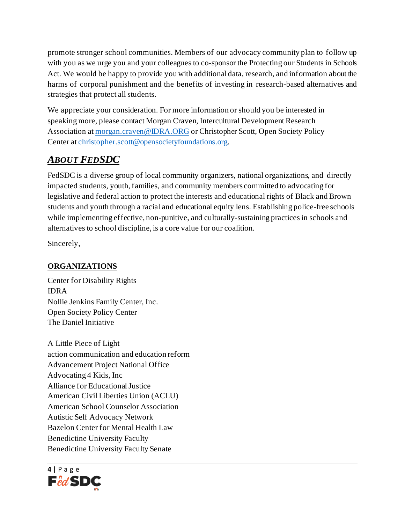promote stronger school communities. Members of our advocacy community plan to follow up with you as we urge you and your colleagues to co-sponsor the Protecting our Students in Schools Act. We would be happy to provide you with additional data, research, and information about the harms of corporal punishment and the benefits of investing in research-based alternatives and strategies that protect all students.

We appreciate your consideration. For more information or should you be interested in speaking more, please contact Morgan Craven, Intercultural Development Research Association a[t morgan.craven@IDRA.ORG](mailto:morgan.craven@IDRA.ORG) or Christopher Scott, Open Society Policy Center at [christopher.scott@opensocietyfoundations.org.](mailto:christopher.scott@opensocietyfoundations.org)

## *ABOUT FEDSDC*

FedSDC is a diverse group of local community organizers, national organizations, and directly impacted students, youth, families, and community members committed to advocating for legislative and federal action to protect the interests and educational rights of Black and Brown students and youth through a racial and educational equity lens. Establishing police-free schools while implementing effective, non-punitive, and culturally-sustaining practices in schools and alternatives to school discipline, is a core value for our coalition.

Sincerely,

## **ORGANIZATIONS**

Center for Disability Rights IDRA Nollie Jenkins Family Center, Inc. Open Society Policy Center The Daniel Initiative

A Little Piece of Light action communication and education reform Advancement Project National Office Advocating 4 Kids, Inc Alliance for Educational Justice American Civil Liberties Union (ACLU) American School Counselor Association Autistic Self Advocacy Network Bazelon Center for Mental Health Law Benedictine University Faculty Benedictine University Faculty Senate

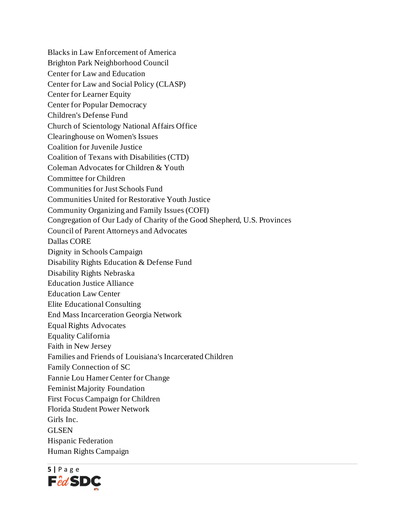Blacks in Law Enforcement of America Brighton Park Neighborhood Council Center for Law and Education Center for Law and Social Policy (CLASP) Center for Learner Equity Center for Popular Democracy Children's Defense Fund Church of Scientology National Affairs Office Clearinghouse on Women's Issues Coalition for Juvenile Justice Coalition of Texans with Disabilities (CTD) Coleman Advocates for Children & Youth Committee for Children Communities for Just Schools Fund Communities United for Restorative Youth Justice Community Organizing and Family Issues (COFI) Congregation of Our Lady of Charity of the Good Shepherd, U.S. Provinces Council of Parent Attorneys and Advocates Dallas CORE Dignity in Schools Campaign Disability Rights Education & Defense Fund Disability Rights Nebraska Education Justice Alliance Education Law Center Elite Educational Consulting End Mass Incarceration Georgia Network Equal Rights Advocates Equality California Faith in New Jersey Families and Friends of Louisiana's Incarcerated Children Family Connection of SC Fannie Lou Hamer Center for Change Feminist Majority Foundation First Focus Campaign for Children Florida Student Power Network Girls Inc. GLSEN Hispanic Federation Human Rights Campaign

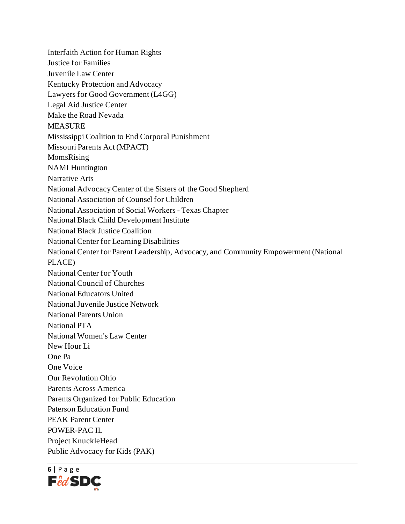Interfaith Action for Human Rights Justice for Families Juvenile Law Center Kentucky Protection and Advocacy Lawyers for Good Government (L4GG) Legal Aid Justice Center Make the Road Nevada **MEASURE** Mississippi Coalition to End Corporal Punishment Missouri Parents Act (MPACT) MomsRising NAMI Huntington Narrative Arts National Advocacy Center of the Sisters of the Good Shepherd National Association of Counsel for Children National Association of Social Workers - Texas Chapter National Black Child Development Institute National Black Justice Coalition National Center for Learning Disabilities National Center for Parent Leadership, Advocacy, and Community Empowerment (National PLACE) National Center for Youth National Council of Churches National Educators United National Juvenile Justice Network National Parents Union National PTA National Women's Law Center New Hour Li One Pa One Voice Our Revolution Ohio Parents Across America Parents Organized for Public Education Paterson Education Fund PEAK Parent Center POWER-PAC IL Project KnuckleHead Public Advocacy for Kids (PAK)

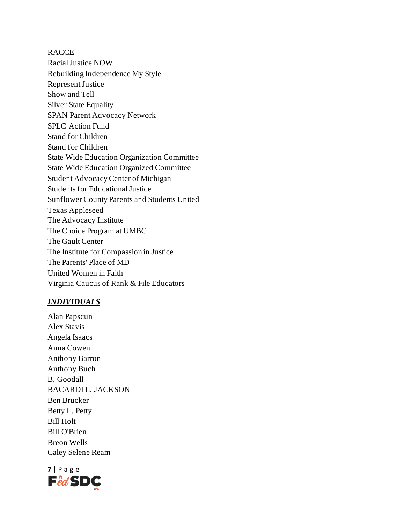**RACCE** Racial Justice NOW Rebuilding Independence My Style Represent Justice Show and Tell Silver State Equality SPAN Parent Advocacy Network SPLC Action Fund Stand for Children Stand for Children State Wide Education Organization Committee State Wide Education Organized Committee Student Advocacy Center of Michigan Students for Educational Justice Sunflower County Parents and Students United Texas Appleseed The Advocacy Institute The Choice Program at UMBC The Gault Center The Institute for Compassion in Justice The Parents' Place of MD United Women in Faith Virginia Caucus of Rank & File Educators

## *INDIVIDUALS*

Alan Papscun Alex Stavis Angela Isaacs Anna Cowen Anthony Barron Anthony Buch B. Goodall BACARDI L. JACKSON Ben Brucker Betty L. Petty Bill Holt Bill O'Brien Breon Wells Caley Selene Ream

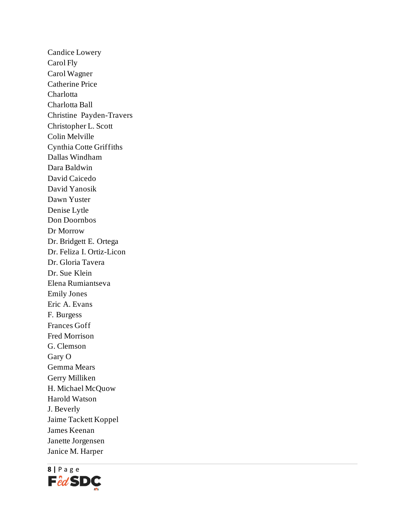Candice Lowery Carol Fly Carol Wagner Catherine Price Charlotta Charlotta Ball Christine Payden-Travers Christopher L. Scott Colin Melville Cynthia Cotte Griffiths Dallas Windham Dara Baldwin David Caicedo David Yanosik Dawn Yuster Denise Lytle Don Doornbos Dr Morrow Dr. Bridgett E. Ortega Dr. Feliza I. Ortiz-Licon Dr. Gloria Tavera Dr. Sue Klein Elena Rumiantseva Emily Jones Eric A. Evans F. Burgess Frances Goff Fred Morrison G. Clemson Gary O Gemma Mears Gerry Milliken H. Michael McQuow Harold Watson J. Beverly Jaime Tackett Koppel James Keenan Janette Jorgensen Janice M. Harper

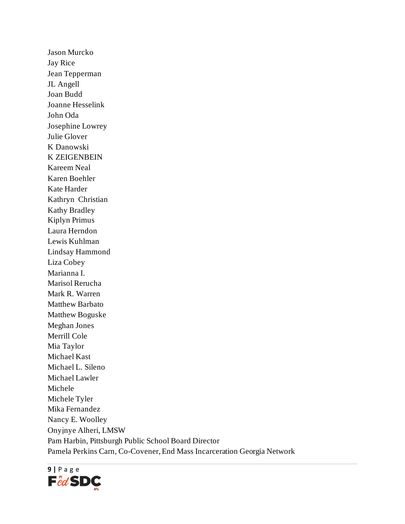Jason Murcko Jay Rice Jean Tepperman JL Angell Joan Budd Joanne Hesselink John Oda Josephine Lowrey Julie Glover K Danowski K ZEIGENBEIN Kareem Neal Karen Boehler Kate Harder Kathryn Christian Kathy Bradley Kiplyn Primus Laura Herndon Lewis Kuhlman Lindsay Hammond Liza Cobey Marianna I. Marisol Rerucha Mark R. Warren Matthew Barbato Matthew Boguske Meghan Jones Merrill Cole Mia Taylor Michael Kast Michael L. Sileno Michael Lawler Michele Michele Tyler Mika Fernandez Nancy E. Woolley Onyịnye Alheri, LMSW Pam Harbin, Pittsburgh Public School Board Director Pamela Perkins Carn, Co-Covener, End Mass Incarceration Georgia Network

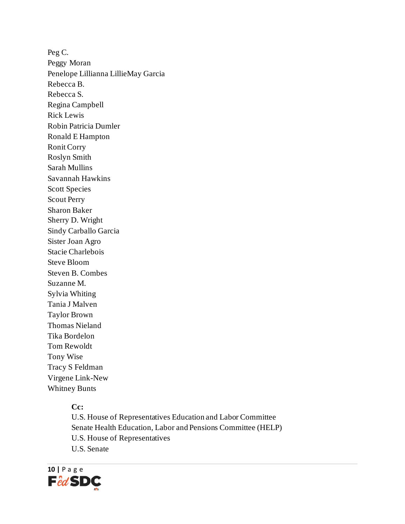Peg C. Peggy Moran Penelope Lillianna LillieMay Garcia Rebecca B. Rebecca S. Regina Campbell Rick Lewis Robin Patricia Dumler Ronald E Hampton Ronit Corry Roslyn Smith Sarah Mullins Savannah Hawkins Scott Species Scout Perry Sharon Baker Sherry D. Wright Sindy Carballo Garcia Sister Joan Agro Stacie Charlebois Steve Bloom Steven B. Combes Suzanne M. Sylvia Whiting Tania J Malven Taylor Brown Thomas Nieland Tika Bordelon Tom Rewoldt Tony Wise Tracy S Feldman Virgene Link-New Whitney Bunts

## **Cc:**

U.S. House of Representatives Education and Labor Committee Senate Health Education, Labor and Pensions Committee (HELP) U.S. House of Representatives U.S. Senate